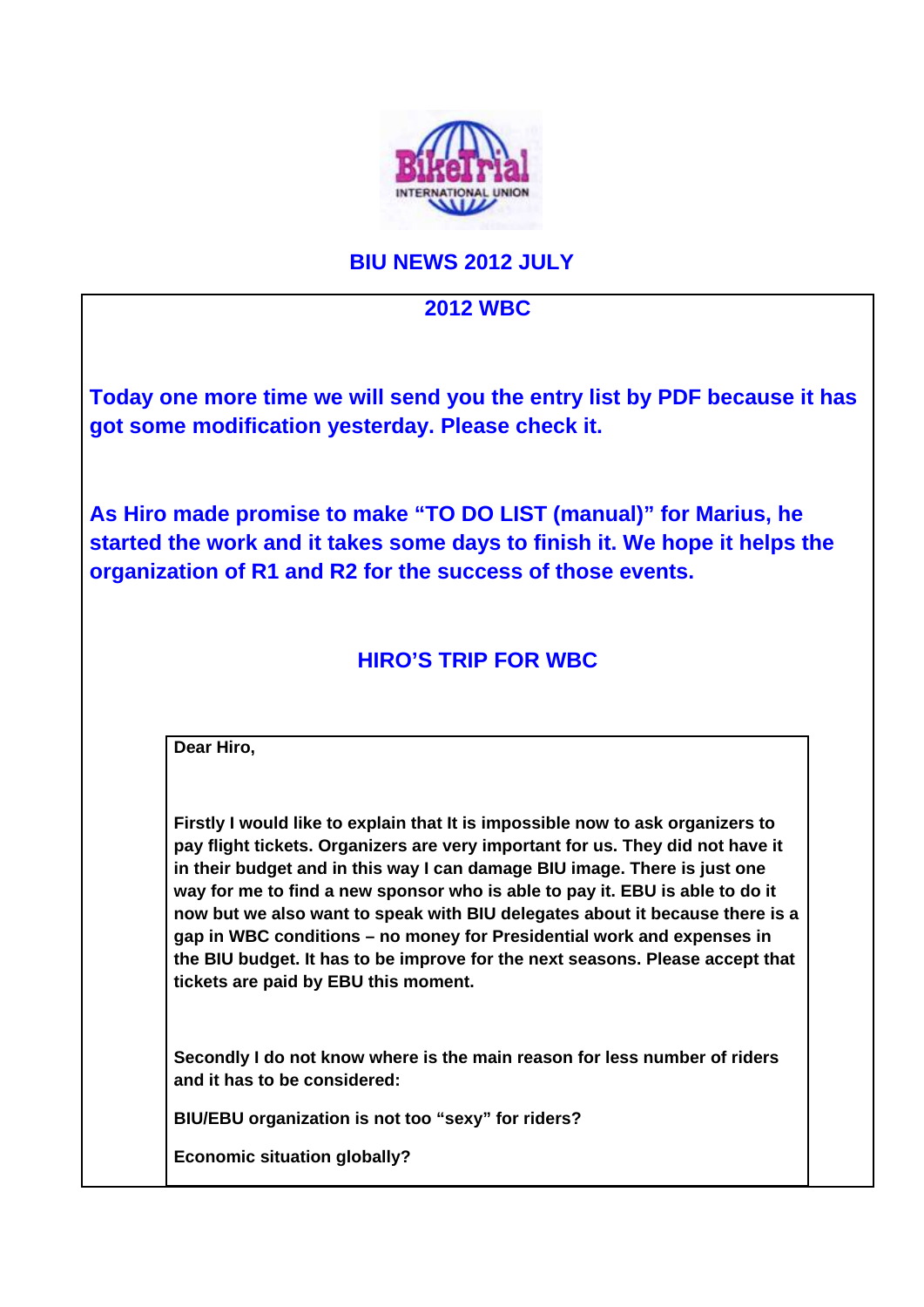

## **BIU NEWS 2012 JULY**

## **2012 WBC**

**Today one more time we will send you the entry list by PDF because it has got some modification yesterday. Please check it.**

**As Hiro made promise to make "TO DO LIST (manual)" for Marius, he started the work and it takes some days to finish it. We hope it helps the organization of R1 and R2 for the success of those events.** 

## **HIRO'S TRIP FOR WBC**

**Dear Hiro,**

**Firstly I would like to explain that It is impossible now to ask organizers to pay flight tickets. Organizers are very important for us. They did not have it in their budget and in this way I can damage BIU image. There is just one way for me to find a new sponsor who is able to pay it. EBU is able to do it now but we also want to speak with BIU delegates about it because there is a gap in WBC conditions – no money for Presidential work and expenses in the BIU budget. It has to be improve for the next seasons. Please accept that tickets are paid by EBU this moment.**

**Secondly I do not know where is the main reason for less number of riders and it has to be considered:**

**BIU/EBU organization is not too "sexy" for riders?**

**Economic situation globally?**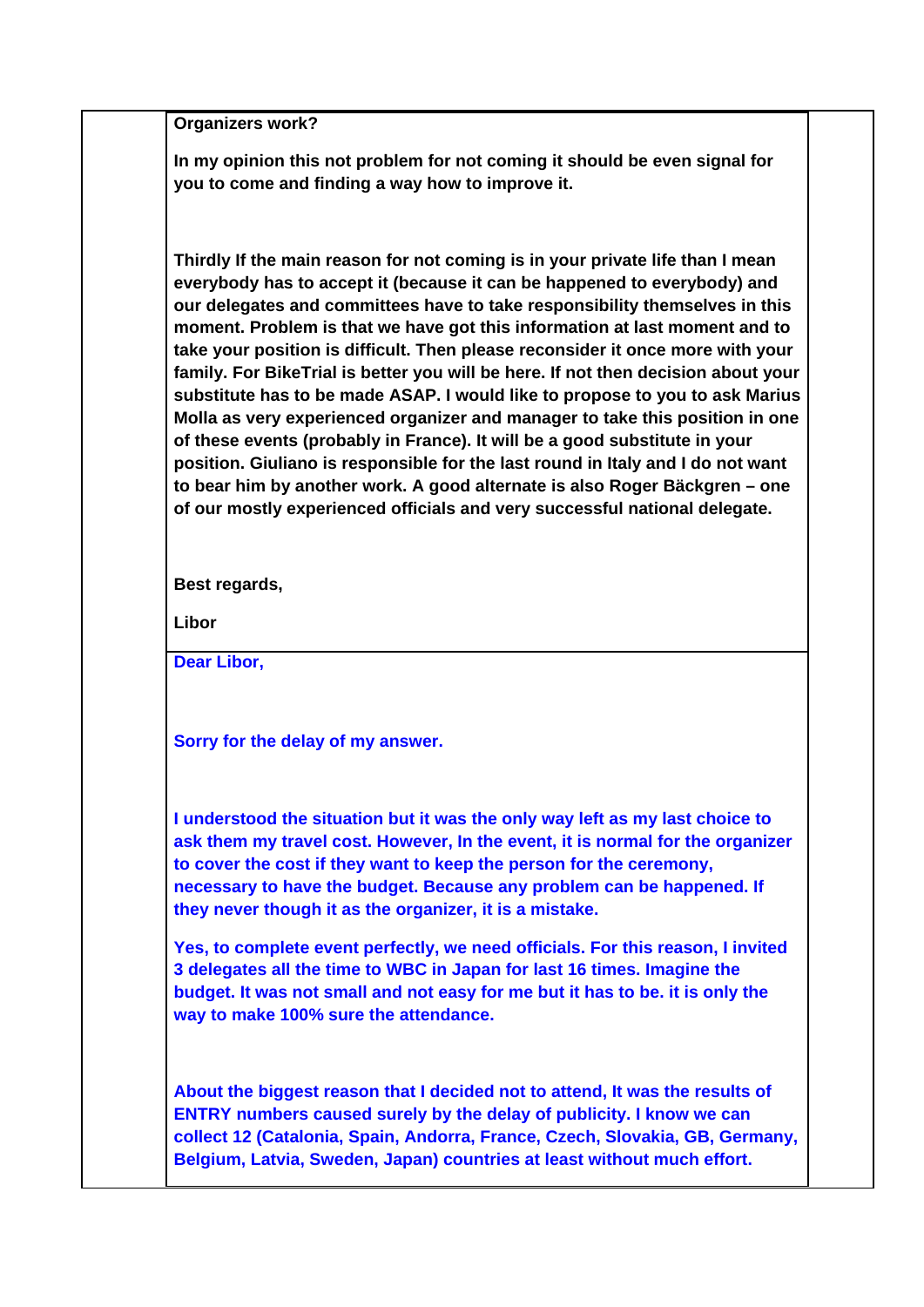**Organizers work?**

**In my opinion this not problem for not coming it should be even signal for you to come and finding a way how to improve it.** 

**Thirdly If the main reason for not coming is in your private life than I mean everybody has to accept it (because it can be happened to everybody) and our delegates and committees have to take responsibility themselves in this moment. Problem is that we have got this information at last moment and to take your position is difficult. Then please reconsider it once more with your family. For BikeTrial is better you will be here. If not then decision about your substitute has to be made ASAP. I would like to propose to you to ask Marius Molla as very experienced organizer and manager to take this position in one of these events (probably in France). It will be a good substitute in your position. Giuliano is responsible for the last round in Italy and I do not want to bear him by another work. A good alternate is also Roger Bäckgren – one of our mostly experienced officials and very successful national delegate.**

**Best regards,**

**Libor**

**Dear Libor,**

**Sorry for the delay of my answer.**

**I understood the situation but it was the only way left as my last choice to ask them my travel cost. However, In the event, it is normal for the organizer to cover the cost if they want to keep the person for the ceremony, necessary to have the budget. Because any problem can be happened. If they never though it as the organizer, it is a mistake.** 

**Yes, to complete event perfectly, we need officials. For this reason, I invited 3 delegates all the time to WBC in Japan for last 16 times. Imagine the budget. It was not small and not easy for me but it has to be. it is only the way to make 100% sure the attendance.**

**About the biggest reason that I decided not to attend, It was the results of ENTRY numbers caused surely by the delay of publicity. I know we can collect 12 (Catalonia, Spain, Andorra, France, Czech, Slovakia, GB, Germany, Belgium, Latvia, Sweden, Japan) countries at least without much effort.**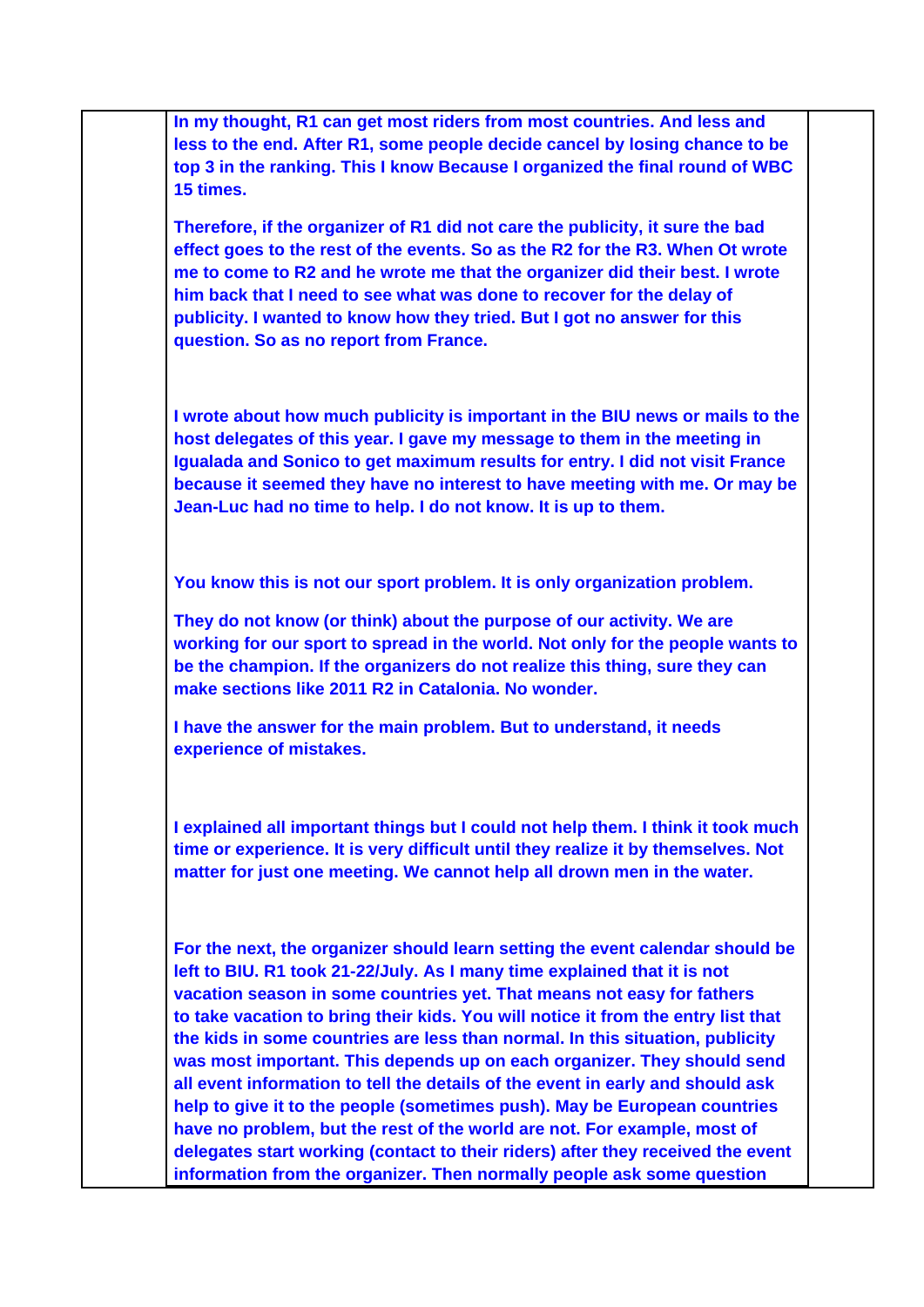| In my thought, R1 can get most riders from most countries. And less and<br>less to the end. After R1, some people decide cancel by losing chance to be<br>top 3 in the ranking. This I know Because I organized the final round of WBC<br>15 times.                                                                                                                                                                                                                                                                                                                                                                                                                                                                                                                                                                                                                                          |
|----------------------------------------------------------------------------------------------------------------------------------------------------------------------------------------------------------------------------------------------------------------------------------------------------------------------------------------------------------------------------------------------------------------------------------------------------------------------------------------------------------------------------------------------------------------------------------------------------------------------------------------------------------------------------------------------------------------------------------------------------------------------------------------------------------------------------------------------------------------------------------------------|
| Therefore, if the organizer of R1 did not care the publicity, it sure the bad<br>effect goes to the rest of the events. So as the R2 for the R3. When Ot wrote<br>me to come to R2 and he wrote me that the organizer did their best. I wrote<br>him back that I need to see what was done to recover for the delay of<br>publicity. I wanted to know how they tried. But I got no answer for this<br>question. So as no report from France.                                                                                                                                                                                                                                                                                                                                                                                                                                                 |
| I wrote about how much publicity is important in the BIU news or mails to the<br>host delegates of this year. I gave my message to them in the meeting in<br>Igualada and Sonico to get maximum results for entry. I did not visit France<br>because it seemed they have no interest to have meeting with me. Or may be<br>Jean-Luc had no time to help. I do not know. It is up to them.                                                                                                                                                                                                                                                                                                                                                                                                                                                                                                    |
| You know this is not our sport problem. It is only organization problem.                                                                                                                                                                                                                                                                                                                                                                                                                                                                                                                                                                                                                                                                                                                                                                                                                     |
| They do not know (or think) about the purpose of our activity. We are<br>working for our sport to spread in the world. Not only for the people wants to<br>be the champion. If the organizers do not realize this thing, sure they can<br>make sections like 2011 R2 in Catalonia. No wonder.                                                                                                                                                                                                                                                                                                                                                                                                                                                                                                                                                                                                |
| I have the answer for the main problem. But to understand, it needs<br>experience of mistakes.                                                                                                                                                                                                                                                                                                                                                                                                                                                                                                                                                                                                                                                                                                                                                                                               |
| I explained all important things but I could not help them. I think it took much<br>time or experience. It is very difficult until they realize it by themselves. Not<br>matter for just one meeting. We cannot help all drown men in the water.                                                                                                                                                                                                                                                                                                                                                                                                                                                                                                                                                                                                                                             |
| For the next, the organizer should learn setting the event calendar should be<br>left to BIU. R1 took 21-22/July. As I many time explained that it is not<br>vacation season in some countries yet. That means not easy for fathers<br>to take vacation to bring their kids. You will notice it from the entry list that<br>the kids in some countries are less than normal. In this situation, publicity<br>was most important. This depends up on each organizer. They should send<br>all event information to tell the details of the event in early and should ask<br>help to give it to the people (sometimes push). May be European countries<br>have no problem, but the rest of the world are not. For example, most of<br>delegates start working (contact to their riders) after they received the event<br>information from the organizer. Then normally people ask some question |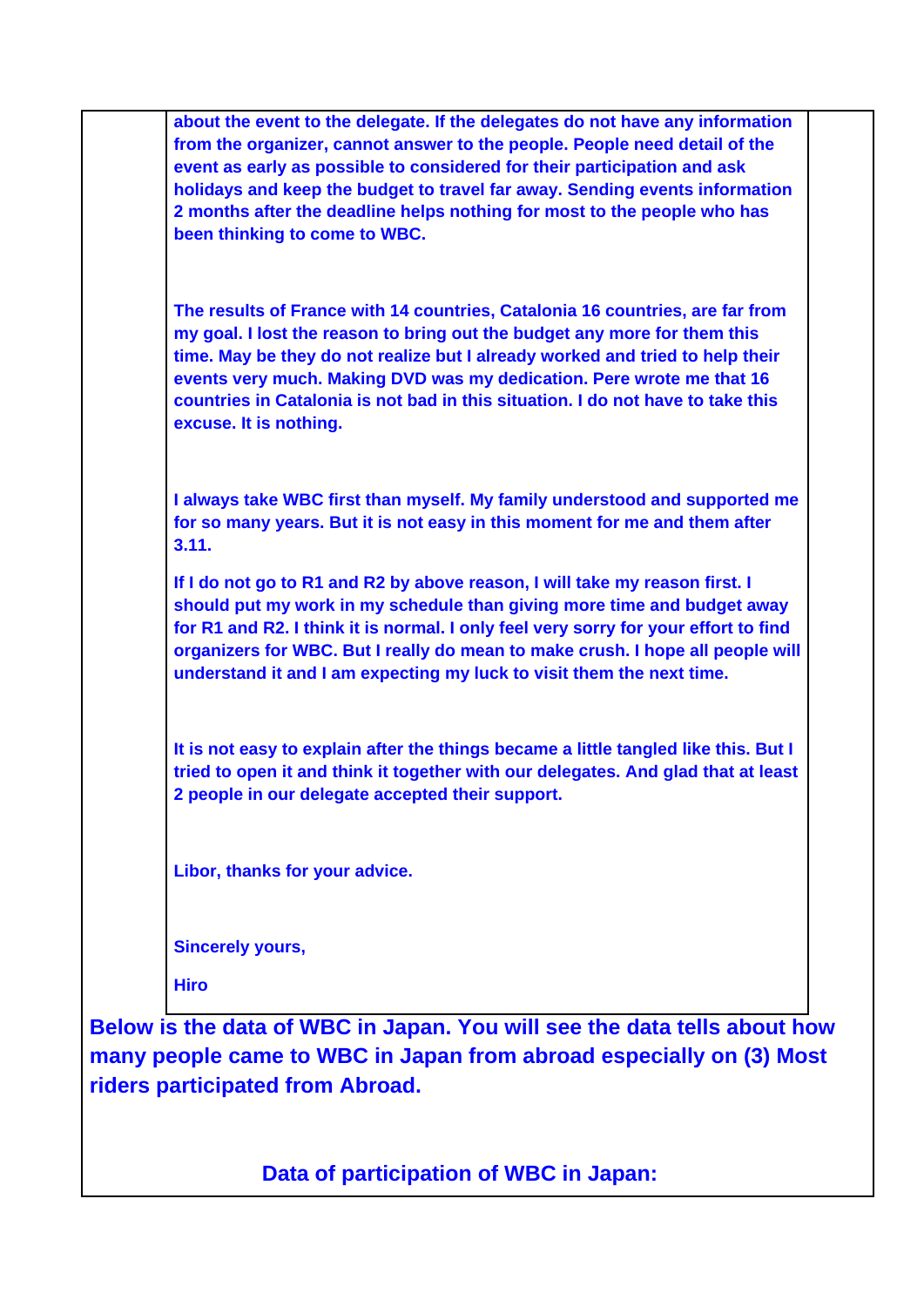**about the event to the delegate. If the delegates do not have any information from the organizer, cannot answer to the people. People need detail of the event as early as possible to considered for their participation and ask holidays and keep the budget to travel far away. Sending events information 2 months after the deadline helps nothing for most to the people who has been thinking to come to WBC. The results of France with 14 countries, Catalonia 16 countries, are far from my goal. I lost the reason to bring out the budget any more for them this time. May be they do not realize but I already worked and tried to help their events very much. Making DVD was my dedication. Pere wrote me that 16 countries in Catalonia is not bad in this situation. I do not have to take this excuse. It is nothing. I always take WBC first than myself. My family understood and supported me for so many years. But it is not easy in this moment for me and them after 3.11. If I do not go to R1 and R2 by above reason, I will take my reason first. I should put my work in my schedule than giving more time and budget away for R1 and R2. I think it is normal. I only feel very sorry for your effort to find organizers for WBC. But I really do mean to make crush. I hope all people will understand it and I am expecting my luck to visit them the next time. It is not easy to explain after the things became a little tangled like this. But I tried to open it and think it together with our delegates. And glad that at least 2 people in our delegate accepted their support. Libor, thanks for your advice. Sincerely yours, Hiro**

**Below is the data of WBC in Japan. You will see the data tells about how many people came to WBC in Japan from abroad especially on (3) Most riders participated from Abroad.** 

**Data of participation of WBC in Japan:**